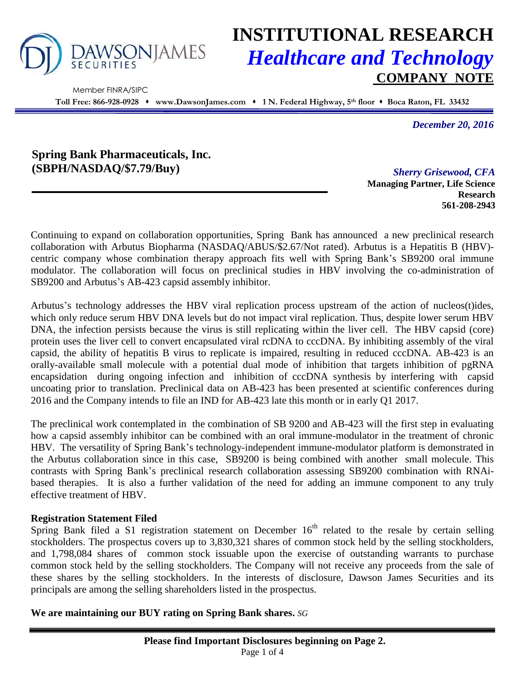

Member FINRA/SIPC

# **INSTITUTIONAL RESEARCH** *Healthcare and Technology* **COMPANY NOTE**

**Toll Free: 866-928-0928 www.DawsonJames.com 1 N. Federal Highway, 5th floor Boca Raton, FL 33432**

*December 20, 2016*

**Spring Bank Pharmaceuticals, Inc. (SBPH/NASDAQ/\$7.79/Buy)** *Sherry Grisewood, CFA*

**Managing Partner, Life Science Research 561-208-2943**

Continuing to expand on collaboration opportunities, Spring Bank has announced a new preclinical research collaboration with Arbutus Biopharma (NASDAQ/ABUS/\$2.67/Not rated). Arbutus is a Hepatitis B (HBV) centric company whose combination therapy approach fits well with Spring Bank's SB9200 oral immune modulator. The collaboration will focus on preclinical studies in HBV involving the co-administration of SB9200 and Arbutus's AB-423 capsid assembly inhibitor.

Arbutus's technology addresses the HBV viral replication process upstream of the action of nucleos(t)ides, which only reduce serum HBV DNA levels but do not impact viral replication. Thus, despite lower serum HBV DNA, the infection persists because the virus is still replicating within the liver cell. The HBV capsid (core) protein uses the liver cell to convert encapsulated viral rcDNA to cccDNA. By inhibiting assembly of the viral capsid, the ability of hepatitis B virus to replicate is impaired, resulting in reduced cccDNA. AB-423 is an orally-available small molecule with a potential dual mode of inhibition that targets inhibition of pgRNA encapsidation during ongoing infection and inhibition of cccDNA synthesis by interfering with capsid uncoating prior to translation. Preclinical data on AB-423 has been presented at scientific conferences during 2016 and the Company intends to file an IND for AB-423 late this month or in early Q1 2017.

The preclinical work contemplated in the combination of SB 9200 and AB-423 will the first step in evaluating how a capsid assembly inhibitor can be combined with an oral immune-modulator in the treatment of chronic HBV. The versatility of Spring Bank's technology-independent immune-modulator platform is demonstrated in the Arbutus collaboration since in this case, SB9200 is being combined with another small molecule. This contrasts with Spring Bank's preclinical research collaboration assessing SB9200 combination with RNAibased therapies. It is also a further validation of the need for adding an immune component to any truly effective treatment of HBV.

## **Registration Statement Filed**

Spring Bank filed a S1 registration statement on December  $16<sup>th</sup>$  related to the resale by certain selling stockholders. The prospectus covers up to 3,830,321 shares of common stock held by the selling stockholders, and 1,798,084 shares of common stock issuable upon the exercise of outstanding warrants to purchase common stock held by the selling stockholders. The Company will not receive any proceeds from the sale of these shares by the selling stockholders. In the interests of disclosure, Dawson James Securities and its principals are among the selling shareholders listed in the prospectus.

**We are maintaining our BUY rating on Spring Bank shares.** *SG*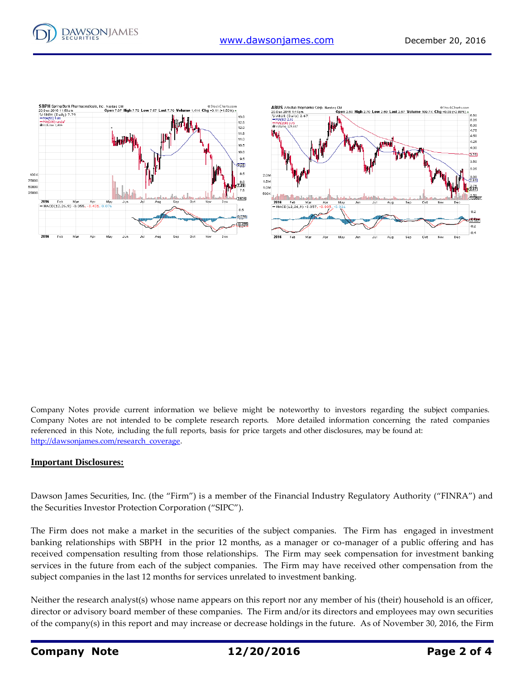

Company Notes provide current information we believe might be noteworthy to investors regarding the subject companies. Company Notes are not intended to be complete research reports. More detailed information concerning the rated companies referenced in this Note, including the full reports, basis for price targets and other disclosures, may be found at: [http://dawsonjames.com/research\\_coverage.](http://dawsonjames.com/research_coverage)

#### **Important Disclosures:**

Dawson James Securities, Inc. (the "Firm") is a member of the Financial Industry Regulatory Authority ("FINRA") and the Securities Investor Protection Corporation ("SIPC").

The Firm does not make a market in the securities of the subject companies. The Firm has engaged in investment banking relationships with SBPH in the prior 12 months, as a manager or co-manager of a public offering and has received compensation resulting from those relationships. The Firm may seek compensation for investment banking services in the future from each of the subject companies. The Firm may have received other compensation from the subject companies in the last 12 months for services unrelated to investment banking.

Neither the research analyst(s) whose name appears on this report nor any member of his (their) household is an officer, director or advisory board member of these companies. The Firm and/or its directors and employees may own securities of the company(s) in this report and may increase or decrease holdings in the future. As of November 30, 2016, the Firm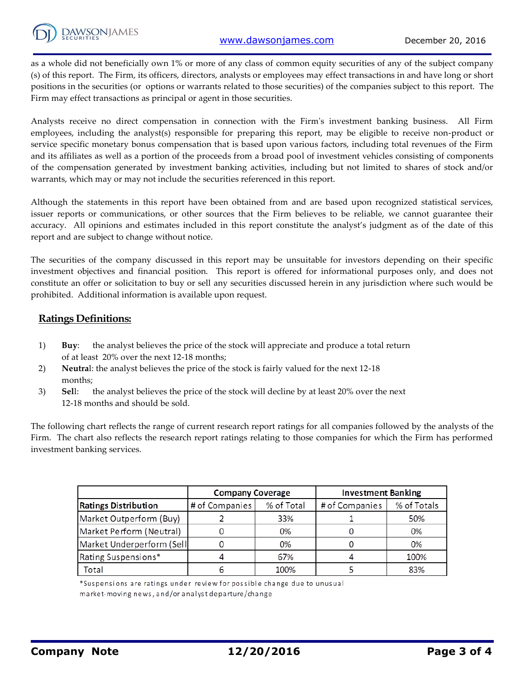as a whole did not beneficially own 1% or more of any class of common equity securities of any of the subject company (s) of this report. The Firm, its officers, directors, analysts or employees may effect transactions in and have long or short positions in the securities (or options or warrants related to those securities) of the companies subject to this report. The Firm may effect transactions as principal or agent in those securities.

Analysts receive no direct compensation in connection with the Firm's investment banking business. All Firm employees, including the analyst(s) responsible for preparing this report, may be eligible to receive non-product or service specific monetary bonus compensation that is based upon various factors, including total revenues of the Firm and its affiliates as well as a portion of the proceeds from a broad pool of investment vehicles consisting of components of the compensation generated by investment banking activities, including but not limited to shares of stock and/or warrants, which may or may not include the securities referenced in this report.

Although the statements in this report have been obtained from and are based upon recognized statistical services, issuer reports or communications, or other sources that the Firm believes to be reliable, we cannot guarantee their accuracy. All opinions and estimates included in this report constitute the analyst's judgment as of the date of this report and are subject to change without notice.

The securities of the company discussed in this report may be unsuitable for investors depending on their specific investment objectives and financial position. This report is offered for informational purposes only, and does not constitute an offer or solicitation to buy or sell any securities discussed herein in any jurisdiction where such would be prohibited. Additional information is available upon request.

## **Ratings Definitions:**

- 1) **Buy**: the analyst believes the price of the stock will appreciate and produce a total return of at least 20% over the next 12-18 months;
- 2) **Neutra**l: the analyst believes the price of the stock is fairly valued for the next 12-18 months;
- 3) **Sel**l: the analyst believes the price of the stock will decline by at least 20% over the next 12-18 months and should be sold.

The following chart reflects the range of current research report ratings for all companies followed by the analysts of the Firm. The chart also reflects the research report ratings relating to those companies for which the Firm has performed investment banking services.

|                             | <b>Company Coverage</b> |            | <b>Investment Banking</b> |             |
|-----------------------------|-------------------------|------------|---------------------------|-------------|
| <b>Ratings Distribution</b> | # of Companies          | % of Total | # of Companies            | % of Totals |
| Market Outperform (Buy)     |                         | 33%        |                           | 50%         |
| Market Perform (Neutral)    |                         | 0%         |                           | 0%          |
| Market Underperform (Sell   |                         | 0%         |                           | 0%          |
| Rating Suspensions*         |                         | 67%        |                           | 100%        |
| Total                       |                         | 100%       |                           | 83%         |

\*Suspensions are ratings under review for possible change due to unusual market-moving news, and/or analyst departure/change

**Company Note 12/20/2016 Page 3 of 4**